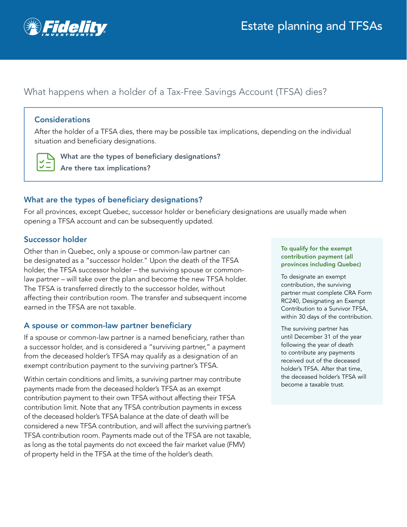

# What happens when a holder of a Tax-Free Savings Account (TFSA) dies?

### **Considerations**

After the holder of a TFSA dies, there may be possible tax implications, depending on the individual situation and beneficiary designations.



What are the types of beneficiary designations? Are there tax implications?

# What are the types of beneficiary designations?

For all provinces, except Quebec, successor holder or beneficiary designations are usually made when opening a TFSA account and can be subsequently updated.

# Successor holder

Other than in Quebec, only a spouse or common-law partner can be designated as a "successor holder." Upon the death of the TFSA holder, the TFSA successor holder – the surviving spouse or commonlaw partner – will take over the plan and become the new TFSA holder. The TFSA is transferred directly to the successor holder, without affecting their contribution room. The transfer and subsequent income earned in the TFSA are not taxable.

# A spouse or common-law partner beneficiary

If a spouse or common-law partner is a named beneficiary, rather than a successor holder, and is considered a "surviving partner," a payment from the deceased holder's TFSA may qualify as a designation of an exempt contribution payment to the surviving partner's TFSA.

Within certain conditions and limits, a surviving partner may contribute payments made from the deceased holder's TFSA as an exempt contribution payment to their own TFSA without affecting their TFSA contribution limit. Note that any TFSA contribution payments in excess of the deceased holder's TFSA balance at the date of death will be considered a new TFSA contribution, and will affect the surviving partner's TFSA contribution room. Payments made out of the TFSA are not taxable, as long as the total payments do not exceed the fair market value (FMV) of property held in the TFSA at the time of the holder's death.

#### To qualify for the exempt contribution payment (all provinces including Quebec)

To designate an exempt contribution, the surviving partner must complete CRA Form RC240, Designating an Exempt Contribution to a Survivor TFSA, within 30 days of the contribution.

The surviving partner has until December 31 of the year following the year of death to contribute any payments received out of the deceased holder's TFSA. After that time, the deceased holder's TFSA will become a taxable trust.